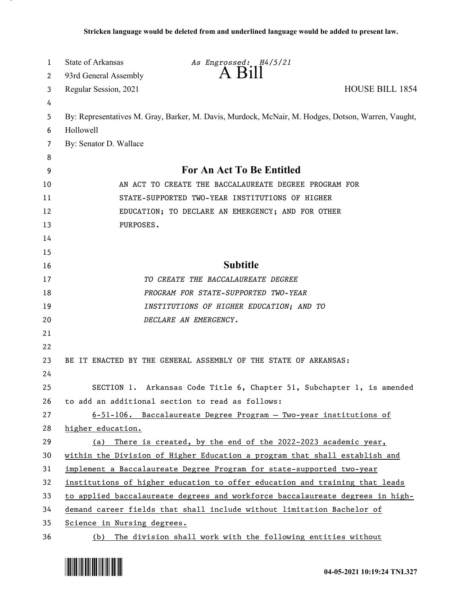| 1      | State of Arkansas<br>As Engrossed: H4/5/21                                                         |
|--------|----------------------------------------------------------------------------------------------------|
| 2      | A Bill<br>93rd General Assembly                                                                    |
| 3      | <b>HOUSE BILL 1854</b><br>Regular Session, 2021                                                    |
| 4      |                                                                                                    |
| 5      | By: Representatives M. Gray, Barker, M. Davis, Murdock, McNair, M. Hodges, Dotson, Warren, Vaught, |
| 6      | Hollowell                                                                                          |
| 7      | By: Senator D. Wallace                                                                             |
| 8<br>9 | For An Act To Be Entitled                                                                          |
| 10     | AN ACT TO CREATE THE BACCALAUREATE DEGREE PROGRAM FOR                                              |
| 11     | STATE-SUPPORTED TWO-YEAR INSTITUTIONS OF HIGHER                                                    |
| 12     | EDUCATION; TO DECLARE AN EMERGENCY; AND FOR OTHER                                                  |
| 13     | PURPOSES.                                                                                          |
| 14     |                                                                                                    |
| 15     |                                                                                                    |
| 16     | <b>Subtitle</b>                                                                                    |
| 17     | TO CREATE THE BACCALAUREATE DEGREE                                                                 |
| 18     | PROGRAM FOR STATE-SUPPORTED TWO-YEAR                                                               |
| 19     | INSTITUTIONS OF HIGHER EDUCATION; AND TO                                                           |
| 20     | DECLARE AN EMERGENCY.                                                                              |
| 21     |                                                                                                    |
| 22     |                                                                                                    |
| 23     | BE IT ENACTED BY THE GENERAL ASSEMBLY OF THE STATE OF ARKANSAS:                                    |
| 24     |                                                                                                    |
| 25     | Arkansas Code Title 6, Chapter 51, Subchapter 1, is amended<br>SECTION 1.                          |
| 26     | to add an additional section to read as follows:                                                   |
| 27     | $6-51-106$ . Baccalaureate Degree Program - Two-year institutions of                               |
| 28     | higher education.                                                                                  |
| 29     | There is created, by the end of the 2022-2023 academic year,<br>(a)                                |
| 30     | within the Division of Higher Education a program that shall establish and                         |
| 31     | implement a Baccalaureate Degree Program for state-supported two-year                              |
| 32     | institutions of higher education to offer education and training that leads                        |
| 33     | to applied baccalaureate degrees and workforce baccalaureate degrees in high-                      |
| 34     | demand career fields that shall include without limitation Bachelor of                             |
| 35     | Science in Nursing degrees.                                                                        |
| 36     | The division shall work with the following entities without<br>(b)                                 |

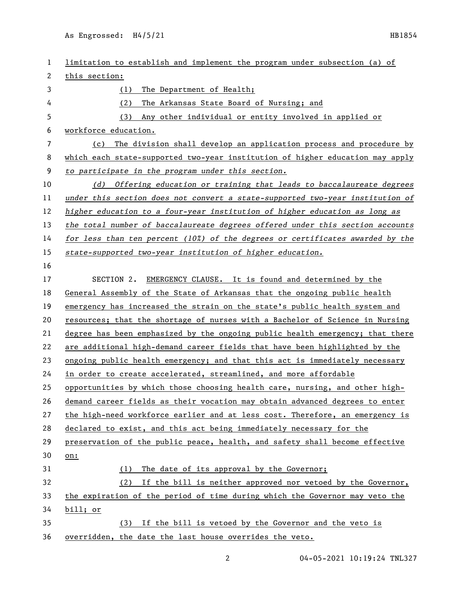As Engrossed: H4/5/21 HB1854

| 1  | limitation to establish and implement the program under subsection (a) of       |
|----|---------------------------------------------------------------------------------|
| 2  | this section:                                                                   |
| 3  | The Department of Health;<br>(1)                                                |
| 4  | (2)<br>The Arkansas State Board of Nursing; and                                 |
| 5  | (3)<br>Any other individual or entity involved in applied or                    |
| 6  | workforce education.                                                            |
| 7  | The division shall develop an application process and procedure by<br>(c)       |
| 8  | which each state-supported two-year institution of higher education may apply   |
| 9  | to participate in the program under this section.                               |
| 10 | (d) Offering education or training that leads to baccalaureate degrees          |
| 11 | under this section does not convert a state-supported two-year institution of   |
| 12 | higher education to a four-year institution of higher education as long as      |
| 13 | the total number of baccalaureate degrees offered under this section accounts   |
| 14 | for less than ten percent $(102)$ of the degrees or certificates awarded by the |
| 15 | state-supported two-year institution of higher education.                       |
| 16 |                                                                                 |
| 17 | SECTION 2.<br>EMERGENCY CLAUSE. It is found and determined by the               |
| 18 | General Assembly of the State of Arkansas that the ongoing public health        |
| 19 | emergency has increased the strain on the state's public health system and      |
| 20 | resources; that the shortage of nurses with a Bachelor of Science in Nursing    |
| 21 | degree has been emphasized by the ongoing public health emergency; that there   |
| 22 | are additional high-demand career fields that have been highlighted by the      |
| 23 | ongoing public health emergency; and that this act is immediately necessary     |
| 24 | in order to create accelerated, streamlined, and more affordable                |
| 25 | opportunities by which those choosing health care, nursing, and other high-     |
| 26 | demand career fields as their vocation may obtain advanced degrees to enter     |
| 27 | the high-need workforce earlier and at less cost. Therefore, an emergency is    |
| 28 | declared to exist, and this act being immediately necessary for the             |
| 29 | preservation of the public peace, health, and safety shall become effective     |
| 30 | on:                                                                             |
| 31 | (1) The date of its approval by the Governor;                                   |
| 32 | If the bill is neither approved nor vetoed by the Governor,<br>(2)              |
| 33 | the expiration of the period of time during which the Governor may veto the     |
| 34 | bill; or                                                                        |
| 35 | (3) If the bill is vetoed by the Governor and the veto is                       |
| 36 | overridden, the date the last house overrides the veto.                         |
|    |                                                                                 |

2 04-05-2021 10:19:24 TNL327